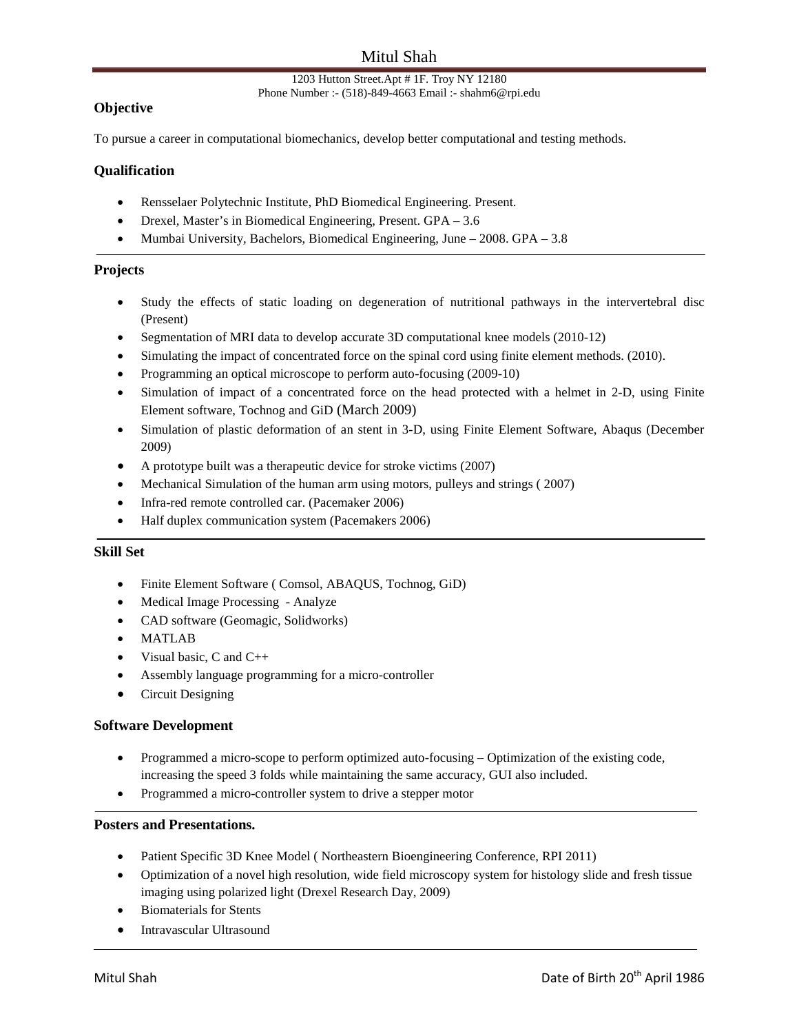# Mitul Shah

#### 1203 Hutton Street.Apt # 1F. Troy NY 12180 Phone Number :- (518)-849-4663 Email :- shahm6@rpi.edu

### **Objective**

To pursue a career in computational biomechanics, develop better computational and testing methods.

### **Qualification**

- Rensselaer Polytechnic Institute, PhD Biomedical Engineering. Present.
- Drexel*,* Master's in Biomedical Engineering, Present. GPA 3.6
- Mumbai University*,* Bachelors, Biomedical Engineering, June 2008. GPA 3.8

### **Projects**

- Study the effects of static loading on degeneration of nutritional pathways in the intervertebral disc (Present)
- Segmentation of MRI data to develop accurate 3D computational knee models (2010-12)
- Simulating the impact of concentrated force on the spinal cord using finite element methods. (2010).
- Programming an optical microscope to perform auto-focusing (2009-10)
- Simulation of impact of a concentrated force on the head protected with a helmet in 2-D, using Finite Element software, Tochnog and GiD (March 2009)
- Simulation of plastic deformation of an stent in 3-D, using Finite Element Software, Abaqus (December 2009)
- A prototype built was a therapeutic device for stroke victims (2007)
- Mechanical Simulation of the human arm using motors, pulleys and strings (2007)
- Infra-red remote controlled car. (Pacemaker 2006)
- Half duplex communication system (Pacemakers 2006)

#### **Skill Set**

- Finite Element Software ( Comsol, ABAQUS, Tochnog, GiD)
- Medical Image Processing Analyze
- CAD software (Geomagic, Solidworks)
- MATLAB
- Visual basic, C and  $C_{++}$
- Assembly language programming for a micro-controller
- Circuit Designing

### **Software Development**

- Programmed a micro-scope to perform optimized auto-focusing Optimization of the existing code, increasing the speed 3 folds while maintaining the same accuracy, GUI also included.
- Programmed a micro-controller system to drive a stepper motor

#### **Posters and Presentations.**

- Patient Specific 3D Knee Model (Northeastern Bioengineering Conference, RPI 2011)
- Optimization of a novel high resolution, wide field microscopy system for histology slide and fresh tissue imaging using polarized light (Drexel Research Day, 2009)
- Biomaterials for Stents
- Intravascular Ultrasound